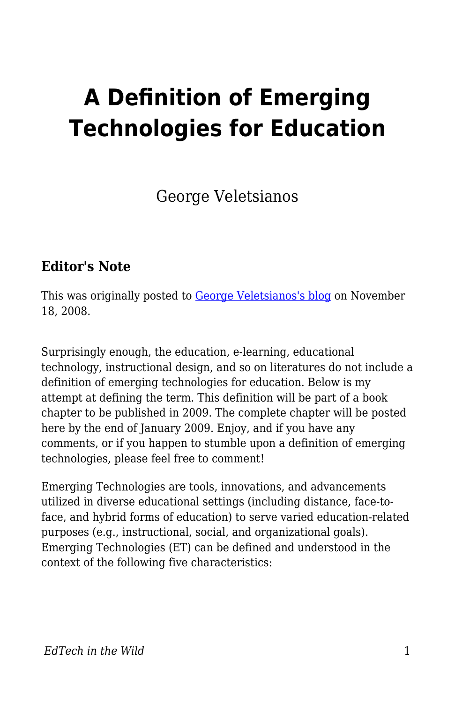# **A Definition of Emerging Technologies for Education**

George Veletsianos

#### **Editor's Note**

This was originally posted to [George Veletsianos's blog](http://www.veletsianos.com/2008/11/18/a-definition-of-emerging-technologies-for-education/) on November 18, 2008.

Surprisingly enough, the education, e-learning, educational technology, instructional design, and so on literatures do not include a definition of emerging technologies for education. Below is my attempt at defining the term. This definition will be part of a book chapter to be published in 2009. The complete chapter will be posted here by the end of January 2009. Enjoy, and if you have any comments, or if you happen to stumble upon a definition of emerging technologies, please feel free to comment!

Emerging Technologies are tools, innovations, and advancements utilized in diverse educational settings (including distance, face-toface, and hybrid forms of education) to serve varied education-related purposes (e.g., instructional, social, and organizational goals). Emerging Technologies (ET) can be defined and understood in the context of the following five characteristics: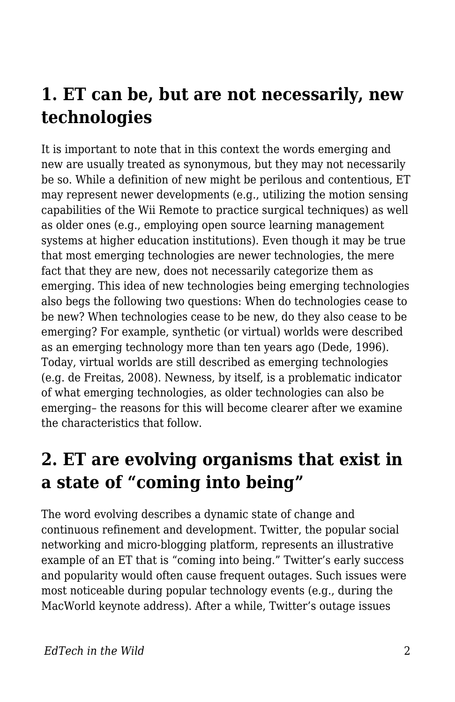### **1. ET can be, but are not necessarily, new technologies**

It is important to note that in this context the words emerging and new are usually treated as synonymous, but they may not necessarily be so. While a definition of new might be perilous and contentious, ET may represent newer developments (e.g., utilizing the motion sensing capabilities of the Wii Remote to practice surgical techniques) as well as older ones (e.g., employing open source learning management systems at higher education institutions). Even though it may be true that most emerging technologies are newer technologies, the mere fact that they are new, does not necessarily categorize them as emerging. This idea of new technologies being emerging technologies also begs the following two questions: When do technologies cease to be new? When technologies cease to be new, do they also cease to be emerging? For example, synthetic (or virtual) worlds were described as an emerging technology more than ten years ago (Dede, 1996). Today, virtual worlds are still described as emerging technologies (e.g. de Freitas, 2008). Newness, by itself, is a problematic indicator of what emerging technologies, as older technologies can also be emerging– the reasons for this will become clearer after we examine the characteristics that follow.

### **2. ET are evolving organisms that exist in a state of "coming into being"**

The word evolving describes a dynamic state of change and continuous refinement and development. Twitter, the popular social networking and micro-blogging platform, represents an illustrative example of an ET that is "coming into being." Twitter's early success and popularity would often cause frequent outages. Such issues were most noticeable during popular technology events (e.g., during the MacWorld keynote address). After a while, Twitter's outage issues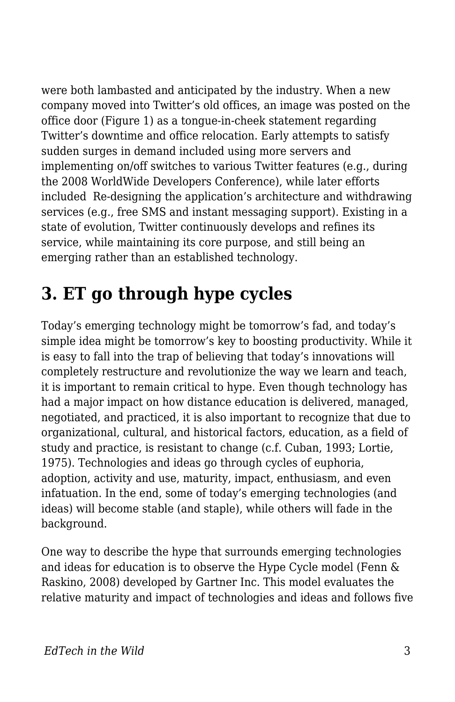were both lambasted and anticipated by the industry. When a new company moved into Twitter's old offices, an image was posted on the office door (Figure 1) as a tongue-in-cheek statement regarding Twitter's downtime and office relocation. Early attempts to satisfy sudden surges in demand included using more servers and implementing on/off switches to various Twitter features (e.g., during the 2008 WorldWide Developers Conference), while later efforts included Re-designing the application's architecture and withdrawing services (e.g., free SMS and instant messaging support). Existing in a state of evolution, Twitter continuously develops and refines its service, while maintaining its core purpose, and still being an emerging rather than an established technology.

# **3. ET go through hype cycles**

Today's emerging technology might be tomorrow's fad, and today's simple idea might be tomorrow's key to boosting productivity. While it is easy to fall into the trap of believing that today's innovations will completely restructure and revolutionize the way we learn and teach, it is important to remain critical to hype. Even though technology has had a major impact on how distance education is delivered, managed, negotiated, and practiced, it is also important to recognize that due to organizational, cultural, and historical factors, education, as a field of study and practice, is resistant to change (c.f. Cuban, 1993; Lortie, 1975). Technologies and ideas go through cycles of euphoria, adoption, activity and use, maturity, impact, enthusiasm, and even infatuation. In the end, some of today's emerging technologies (and ideas) will become stable (and staple), while others will fade in the background.

One way to describe the hype that surrounds emerging technologies and ideas for education is to observe the Hype Cycle model (Fenn & Raskino, 2008) developed by Gartner Inc. This model evaluates the relative maturity and impact of technologies and ideas and follows five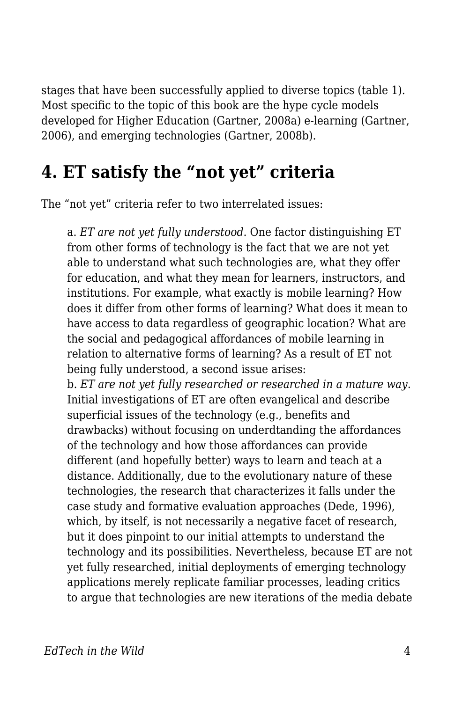stages that have been successfully applied to diverse topics (table 1). Most specific to the topic of this book are the hype cycle models developed for Higher Education (Gartner, 2008a) e-learning (Gartner, 2006), and emerging technologies (Gartner, 2008b).

#### **4. ET satisfy the "not yet" criteria**

The "not yet" criteria refer to two interrelated issues:

a. *ET are not yet fully understood*. One factor distinguishing ET from other forms of technology is the fact that we are not yet able to understand what such technologies are, what they offer for education, and what they mean for learners, instructors, and institutions. For example, what exactly is mobile learning? How does it differ from other forms of learning? What does it mean to have access to data regardless of geographic location? What are the social and pedagogical affordances of mobile learning in relation to alternative forms of learning? As a result of ET not being fully understood, a second issue arises: b. *ET are not yet fully researched or researched in a mature way*. Initial investigations of ET are often evangelical and describe superficial issues of the technology (e.g., benefits and drawbacks) without focusing on underdtanding the affordances of the technology and how those affordances can provide different (and hopefully better) ways to learn and teach at a distance. Additionally, due to the evolutionary nature of these technologies, the research that characterizes it falls under the case study and formative evaluation approaches (Dede, 1996), which, by itself, is not necessarily a negative facet of research, but it does pinpoint to our initial attempts to understand the technology and its possibilities. Nevertheless, because ET are not yet fully researched, initial deployments of emerging technology applications merely replicate familiar processes, leading critics to argue that technologies are new iterations of the media debate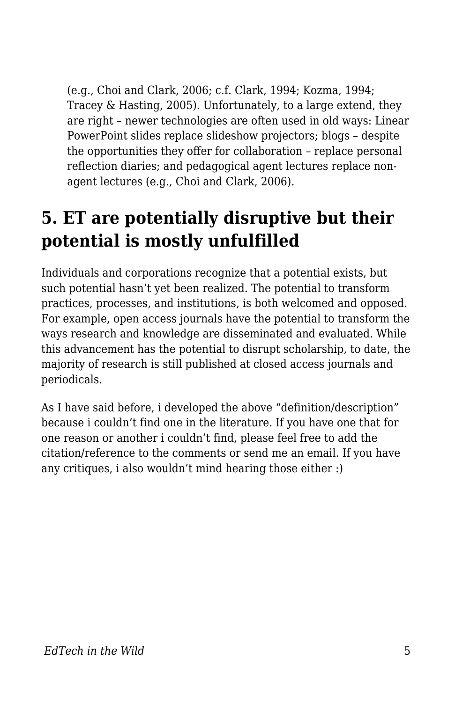(e.g., Choi and Clark, 2006; c.f. Clark, 1994; Kozma, 1994; Tracey & Hasting, 2005). Unfortunately, to a large extend, they are right – newer technologies are often used in old ways: Linear PowerPoint slides replace slideshow projectors; blogs – despite the opportunities they offer for collaboration – replace personal reflection diaries; and pedagogical agent lectures replace nonagent lectures (e.g., Choi and Clark, 2006).

## **5. ET are potentially disruptive but their potential is mostly unfulfilled**

Individuals and corporations recognize that a potential exists, but such potential hasn't yet been realized. The potential to transform practices, processes, and institutions, is both welcomed and opposed. For example, open access journals have the potential to transform the ways research and knowledge are disseminated and evaluated. While this advancement has the potential to disrupt scholarship, to date, the majority of research is still published at closed access journals and periodicals.

As I have said before, i developed the above "definition/description" because i couldn't find one in the literature. If you have one that for one reason or another i couldn't find, please feel free to add the citation/reference to the comments or send me an email. If you have any critiques, i also wouldn't mind hearing those either :)